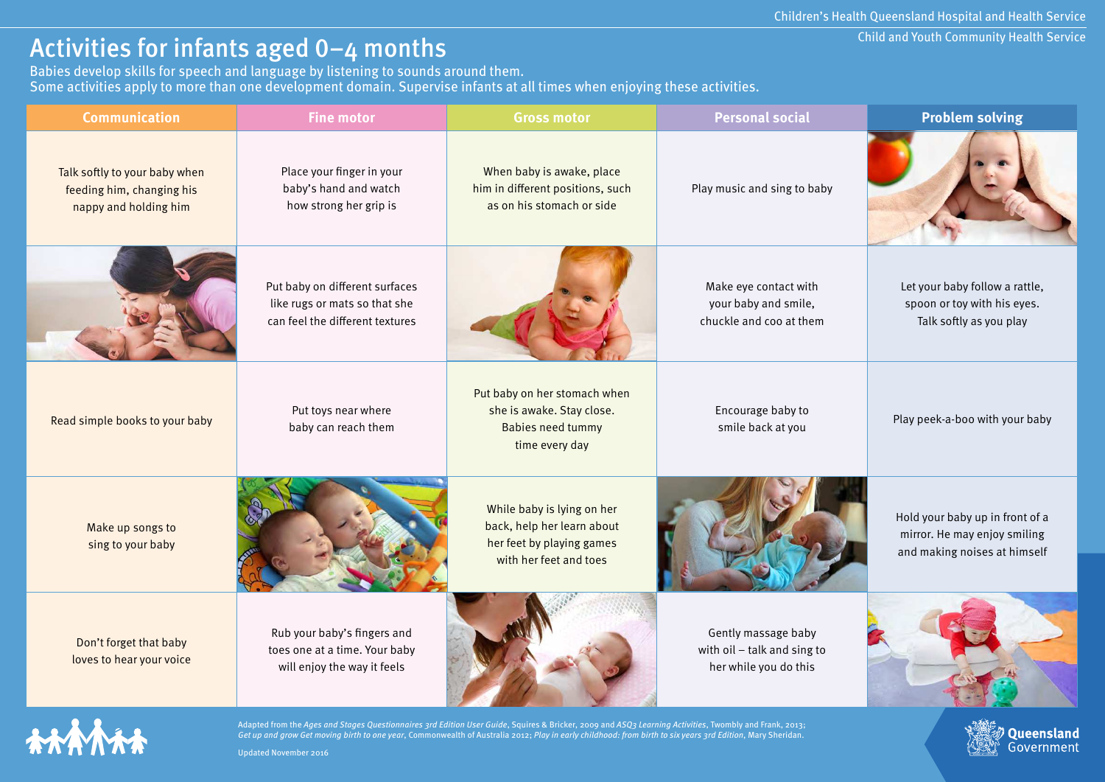## Activities for infants aged 0–4 months

Babies develop skills for speech and language by listening to sounds around them. Some activities apply to more than one development domain. Supervise infants at all times when enjoying these activities. Child and Youth Community Health Service

Queensland Government

| <b>Communication</b>                                                                | <b>Fine motor</b>                                                                                  | <b>Gross motor</b>                                                                                              | <b>Personal social</b>                                                      | <b>Problem solving</b>                                                                          |
|-------------------------------------------------------------------------------------|----------------------------------------------------------------------------------------------------|-----------------------------------------------------------------------------------------------------------------|-----------------------------------------------------------------------------|-------------------------------------------------------------------------------------------------|
| Talk softly to your baby when<br>feeding him, changing his<br>nappy and holding him | Place your finger in your<br>baby's hand and watch<br>how strong her grip is                       | When baby is awake, place<br>him in different positions, such<br>as on his stomach or side                      | Play music and sing to baby                                                 |                                                                                                 |
|                                                                                     | Put baby on different surfaces<br>like rugs or mats so that she<br>can feel the different textures |                                                                                                                 | Make eye contact with<br>your baby and smile,<br>chuckle and coo at them    | Let your baby follow a rattle,<br>spoon or toy with his eyes.<br>Talk softly as you play        |
| Read simple books to your baby                                                      | Put toys near where<br>baby can reach them                                                         | Put baby on her stomach when<br>she is awake. Stay close.<br><b>Babies need tummy</b><br>time every day         | Encourage baby to<br>smile back at you                                      | Play peek-a-boo with your baby                                                                  |
| Make up songs to<br>sing to your baby                                               |                                                                                                    | While baby is lying on her<br>back, help her learn about<br>her feet by playing games<br>with her feet and toes |                                                                             | Hold your baby up in front of a<br>mirror. He may enjoy smiling<br>and making noises at himself |
| Don't forget that baby<br>loves to hear your voice                                  | Rub your baby's fingers and<br>toes one at a time. Your baby<br>will enjoy the way it feels        |                                                                                                                 | Gently massage baby<br>with oil - talk and sing to<br>her while you do this |                                                                                                 |



Adapted from the Ages and Stages Questionnaires 3rd Edition User Guide, Squires & Bricker, 2009 and ASQ3 Learning Activities, Twombly and Frank, 2013; Get up and grow Get moving birth to one year, Commonwealth of Australia 2012; Play in early childhood: from birth to six years 3rd Edition, Mary Sheridan.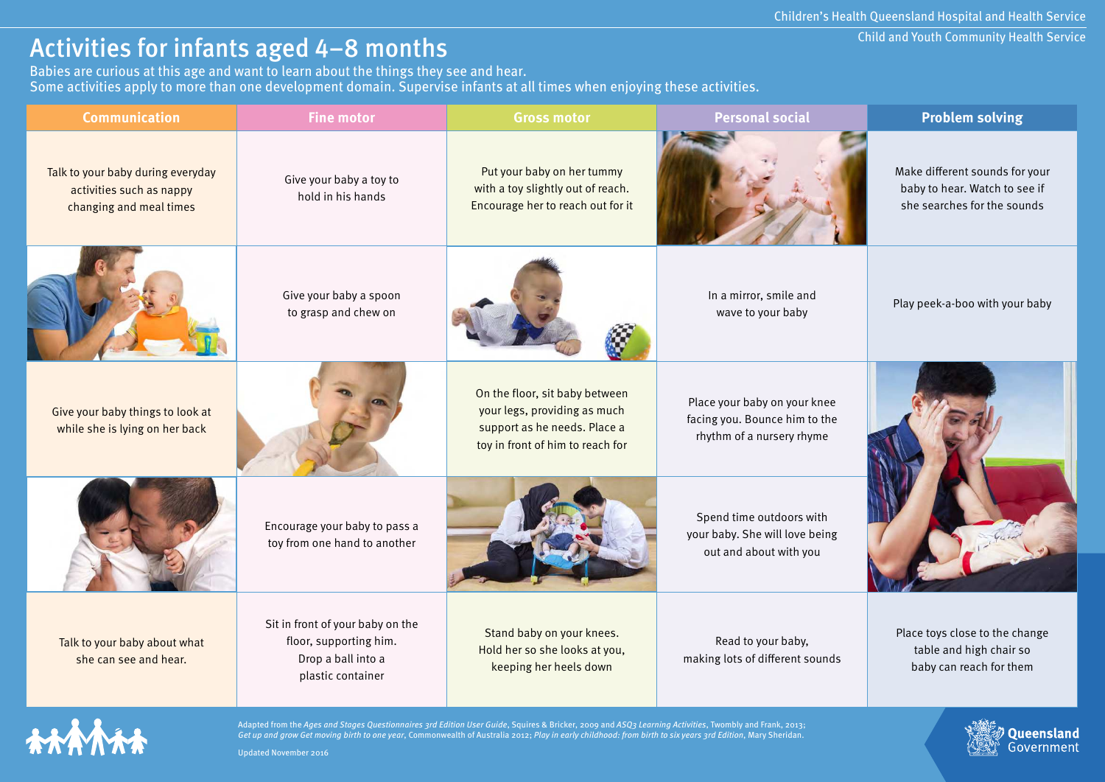## Activities for infants aged 4–8 months

Babies are curious at this age and want to learn about the things they see and hear. Some activities apply to more than one development domain. Supervise infants at all times when enjoying these activities. Child and Youth Community Health Service

**Queensland**<br>Government

| <b>Communication</b>                                                                     | <b>Fine motor</b>                                                                                     | <b>Gross motor</b>                                                                                                                 | <b>Personal social</b>                                                                     | <b>Problem solving</b>                                                                         |
|------------------------------------------------------------------------------------------|-------------------------------------------------------------------------------------------------------|------------------------------------------------------------------------------------------------------------------------------------|--------------------------------------------------------------------------------------------|------------------------------------------------------------------------------------------------|
| Talk to your baby during everyday<br>activities such as nappy<br>changing and meal times | Give your baby a toy to<br>hold in his hands                                                          | Put your baby on her tummy<br>with a toy slightly out of reach.<br>Encourage her to reach out for it                               |                                                                                            | Make different sounds for your<br>baby to hear. Watch to see if<br>she searches for the sounds |
|                                                                                          | Give your baby a spoon<br>to grasp and chew on                                                        |                                                                                                                                    | In a mirror, smile and<br>wave to your baby                                                | Play peek-a-boo with your baby                                                                 |
| Give your baby things to look at<br>while she is lying on her back                       |                                                                                                       | On the floor, sit baby between<br>your legs, providing as much<br>support as he needs. Place a<br>toy in front of him to reach for | Place your baby on your knee<br>facing you. Bounce him to the<br>rhythm of a nursery rhyme |                                                                                                |
|                                                                                          | Encourage your baby to pass a<br>toy from one hand to another                                         |                                                                                                                                    | Spend time outdoors with<br>your baby. She will love being<br>out and about with you       |                                                                                                |
| Talk to your baby about what<br>she can see and hear.                                    | Sit in front of your baby on the<br>floor, supporting him.<br>Drop a ball into a<br>plastic container | Stand baby on your knees.<br>Hold her so she looks at you,<br>keeping her heels down                                               | Read to your baby,<br>making lots of different sounds                                      | Place toys close to the change<br>table and high chair so<br>baby can reach for them           |



Adapted from the Ages and Stages Questionnaires 3rd Edition User Guide, Squires & Bricker, 2009 and ASQ3 Learning Activities, Twombly and Frank, 2013; Get up and grow Get moving birth to one year, Commonwealth of Australia 2012; Play in early childhood: from birth to six years 3rd Edition, Mary Sheridan.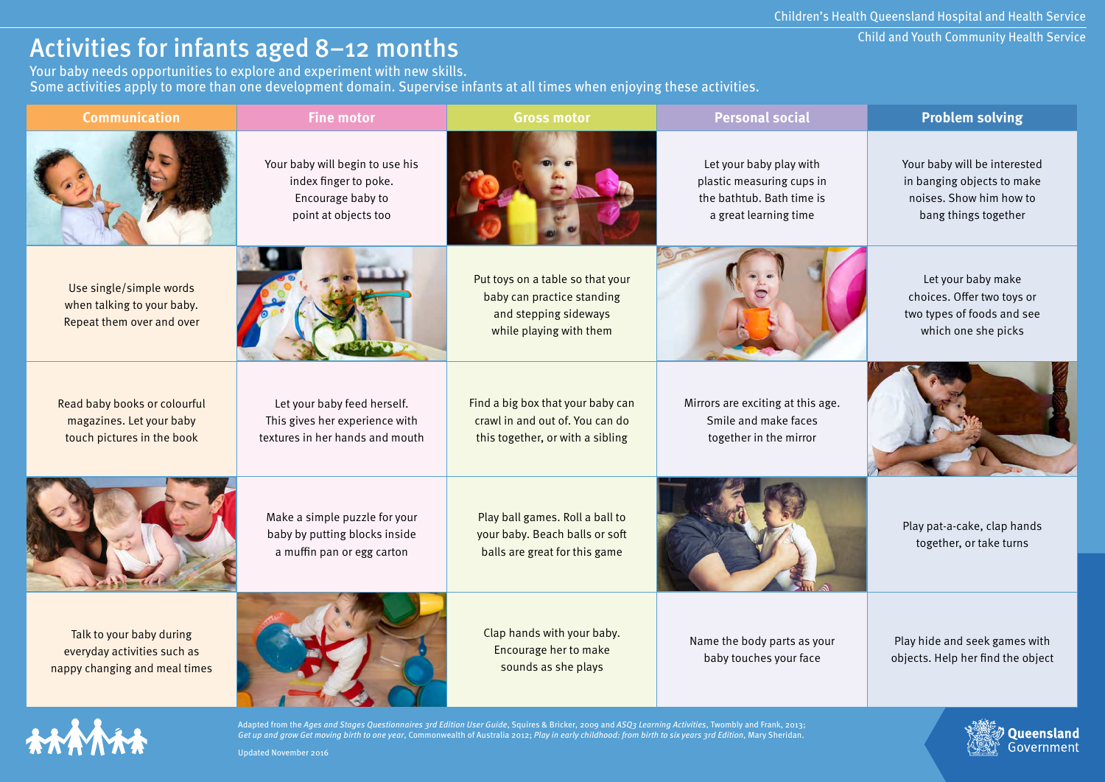Child and Youth Community Health Service

**Queensland**<br>Government

## Activities for infants aged 8–12 months

Your baby needs opportunities to explore and experiment with new skills. Some activities apply to more than one development domain. Supervise infants at all times when enjoying these activities.

| <b>Communication</b>                                                                     | <b>Fine motor</b>                                                                                     | <b>Gross motor</b>                                                                                                 | <b>Personal social</b>                                                                                     | <b>Problem solving</b>                                                                                        |
|------------------------------------------------------------------------------------------|-------------------------------------------------------------------------------------------------------|--------------------------------------------------------------------------------------------------------------------|------------------------------------------------------------------------------------------------------------|---------------------------------------------------------------------------------------------------------------|
|                                                                                          | Your baby will begin to use his<br>index finger to poke.<br>Encourage baby to<br>point at objects too |                                                                                                                    | Let your baby play with<br>plastic measuring cups in<br>the bathtub. Bath time is<br>a great learning time | Your baby will be interested<br>in banging objects to make<br>noises. Show him how to<br>bang things together |
| Use single/simple words<br>when talking to your baby.<br>Repeat them over and over       |                                                                                                       | Put toys on a table so that your<br>baby can practice standing<br>and stepping sideways<br>while playing with them |                                                                                                            | Let your baby make<br>choices. Offer two toys or<br>two types of foods and see<br>which one she picks         |
| Read baby books or colourful<br>magazines. Let your baby<br>touch pictures in the book   | Let your baby feed herself.<br>This gives her experience with<br>textures in her hands and mouth      | Find a big box that your baby can<br>crawl in and out of. You can do<br>this together, or with a sibling           | Mirrors are exciting at this age.<br>Smile and make faces<br>together in the mirror                        |                                                                                                               |
|                                                                                          | Make a simple puzzle for your<br>baby by putting blocks inside<br>a muffin pan or egg carton          | Play ball games. Roll a ball to<br>your baby. Beach balls or soft<br>balls are great for this game                 |                                                                                                            | Play pat-a-cake, clap hands<br>together, or take turns                                                        |
| Talk to your baby during<br>everyday activities such as<br>nappy changing and meal times |                                                                                                       | Clap hands with your baby.<br>Encourage her to make<br>sounds as she plays                                         | Name the body parts as your<br>baby touches your face                                                      | Play hide and seek games with<br>objects. Help her find the object                                            |



Adapted from the Ages and Stages Questionnaires 3rd Edition User Guide, Squires & Bricker, 2009 and ASQ3 Learning Activities, Twombly and Frank, 2013; Get up and grow Get moving birth to one year, Commonwealth of Australia 2012; Play in early childhood: from birth to six years 3rd Edition, Mary Sheridan.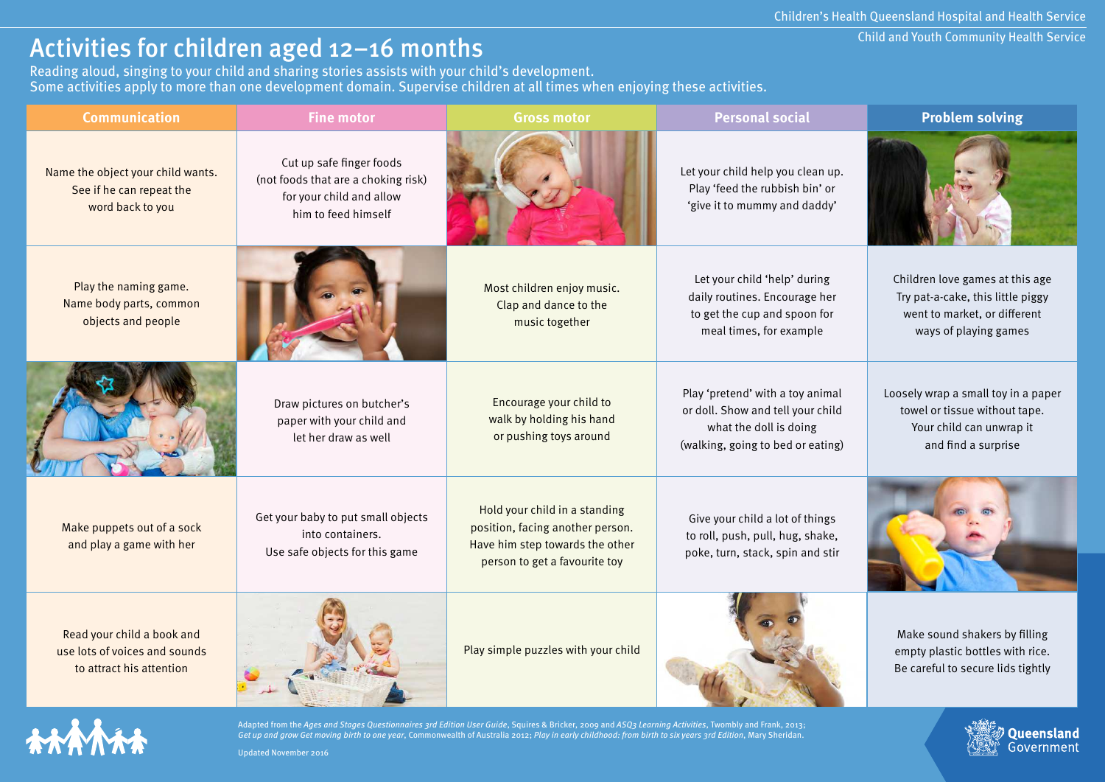# Activities for children aged 12-16 months

Reading aloud, singing to your child and sharing stories assists with your child's development. Some activities apply to more than one development domain. Supervise children at all times when enjoying these activities.

| <b>Communication</b>                                                                    | <b>Fine motor</b>                                                                                                  | <b>Gross motor</b>                                                                                                                    | <b>Personal social</b>                                                                                                               | <b>Problem solving</b>                                                                                                        |
|-----------------------------------------------------------------------------------------|--------------------------------------------------------------------------------------------------------------------|---------------------------------------------------------------------------------------------------------------------------------------|--------------------------------------------------------------------------------------------------------------------------------------|-------------------------------------------------------------------------------------------------------------------------------|
| Name the object your child wants.<br>See if he can repeat the<br>word back to you       | Cut up safe finger foods<br>(not foods that are a choking risk)<br>for your child and allow<br>him to feed himself |                                                                                                                                       | Let your child help you clean up.<br>Play 'feed the rubbish bin' or<br>'give it to mummy and daddy'                                  |                                                                                                                               |
| Play the naming game.<br>Name body parts, common<br>objects and people                  |                                                                                                                    | Most children enjoy music.<br>Clap and dance to the<br>music together                                                                 | Let your child 'help' during<br>daily routines. Encourage her<br>to get the cup and spoon for<br>meal times, for example             | Children love games at this age<br>Try pat-a-cake, this little piggy<br>went to market, or different<br>ways of playing games |
|                                                                                         | Draw pictures on butcher's<br>paper with your child and<br>let her draw as well                                    | Encourage your child to<br>walk by holding his hand<br>or pushing toys around                                                         | Play 'pretend' with a toy animal<br>or doll. Show and tell your child<br>what the doll is doing<br>(walking, going to bed or eating) | Loosely wrap a small toy in a paper<br>towel or tissue without tape.<br>Your child can unwrap it<br>and find a surprise       |
| Make puppets out of a sock<br>and play a game with her                                  | Get your baby to put small objects<br>into containers.<br>Use safe objects for this game                           | Hold your child in a standing<br>position, facing another person.<br>Have him step towards the other<br>person to get a favourite toy | Give your child a lot of things<br>to roll, push, pull, hug, shake,<br>poke, turn, stack, spin and stir                              |                                                                                                                               |
| Read your child a book and<br>use lots of voices and sounds<br>to attract his attention |                                                                                                                    | Play simple puzzles with your child                                                                                                   |                                                                                                                                      | Make sound shakers by filling<br>empty plastic bottles with rice.<br>Be careful to secure lids tightly                        |



Adapted from the Ages and Stages Questionnaires 3rd Edition User Guide, Squires & Bricker, 2009 and ASQ3 Learning Activities, Twombly and Frank, 2013; Get up and grow Get moving birth to one year, Commonwealth of Australia 2012; Play in early childhood: from birth to six years 3rd Edition, Mary Sheridan. Updated November 2016

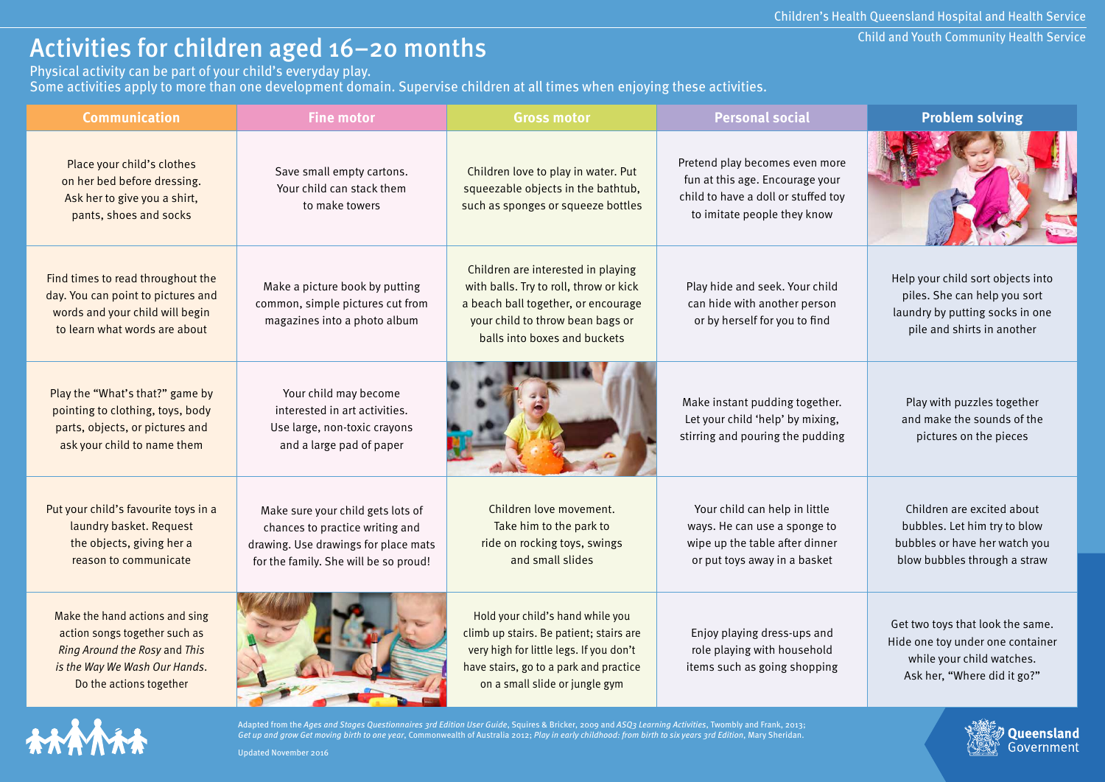Queensland Government

# Activities for children aged 16–20 months

Physical activity can be part of your child's everyday play.

Some activities apply to more than one development domain. Supervise children at all times when enjoying these activities.

| <b>Communication</b>                                                                                                                                         | <b>Fine motor</b>                                                                                                                                     | <b>Gross motor</b>                                                                                                                                                                                 | <b>Personal social</b>                                                                                                                  | <b>Problem solving</b>                                                                                                             |
|--------------------------------------------------------------------------------------------------------------------------------------------------------------|-------------------------------------------------------------------------------------------------------------------------------------------------------|----------------------------------------------------------------------------------------------------------------------------------------------------------------------------------------------------|-----------------------------------------------------------------------------------------------------------------------------------------|------------------------------------------------------------------------------------------------------------------------------------|
| Place your child's clothes<br>on her bed before dressing.<br>Ask her to give you a shirt,<br>pants, shoes and socks                                          | Save small empty cartons.<br>Your child can stack them<br>to make towers                                                                              | Children love to play in water. Put<br>squeezable objects in the bathtub,<br>such as sponges or squeeze bottles                                                                                    | Pretend play becomes even more<br>fun at this age. Encourage your<br>child to have a doll or stuffed toy<br>to imitate people they know |                                                                                                                                    |
| Find times to read throughout the<br>day. You can point to pictures and<br>words and your child will begin<br>to learn what words are about                  | Make a picture book by putting<br>common, simple pictures cut from<br>magazines into a photo album                                                    | Children are interested in playing<br>with balls. Try to roll, throw or kick<br>a beach ball together, or encourage<br>your child to throw bean bags or<br>balls into boxes and buckets            | Play hide and seek. Your child<br>can hide with another person<br>or by herself for you to find                                         | Help your child sort objects into<br>piles. She can help you sort<br>laundry by putting socks in one<br>pile and shirts in another |
| Play the "What's that?" game by<br>pointing to clothing, toys, body<br>parts, objects, or pictures and<br>ask your child to name them                        | Your child may become<br>interested in art activities.<br>Use large, non-toxic crayons<br>and a large pad of paper                                    |                                                                                                                                                                                                    | Make instant pudding together.<br>Let your child 'help' by mixing,<br>stirring and pouring the pudding                                  | Play with puzzles together<br>and make the sounds of the<br>pictures on the pieces                                                 |
| Put your child's favourite toys in a<br>laundry basket. Request<br>the objects, giving her a<br>reason to communicate                                        | Make sure your child gets lots of<br>chances to practice writing and<br>drawing. Use drawings for place mats<br>for the family. She will be so proud! | Children love movement.<br>Take him to the park to<br>ride on rocking toys, swings<br>and small slides                                                                                             | Your child can help in little<br>ways. He can use a sponge to<br>wipe up the table after dinner<br>or put toys away in a basket         | Children are excited about<br>bubbles. Let him try to blow<br>bubbles or have her watch you<br>blow bubbles through a straw        |
| Make the hand actions and sing<br>action songs together such as<br>Ring Around the Rosy and This<br>is the Way We Wash Our Hands.<br>Do the actions together |                                                                                                                                                       | Hold your child's hand while you<br>climb up stairs. Be patient; stairs are<br>very high for little legs. If you don't<br>have stairs, go to a park and practice<br>on a small slide or jungle gym | Enjoy playing dress-ups and<br>role playing with household<br>items such as going shopping                                              | Get two toys that look the same.<br>Hide one toy under one container<br>while your child watches.<br>Ask her, "Where did it go?"   |



Adapted from the Ages and Stages Questionnaires 3rd Edition User Guide, Squires & Bricker, 2009 and ASQ3 Learning Activities, Twombly and Frank, 2013; Get up and grow Get moving birth to one year, Commonwealth of Australia 2012; Play in early childhood: from birth to six years 3rd Edition, Mary Sheridan.



**COMPANY**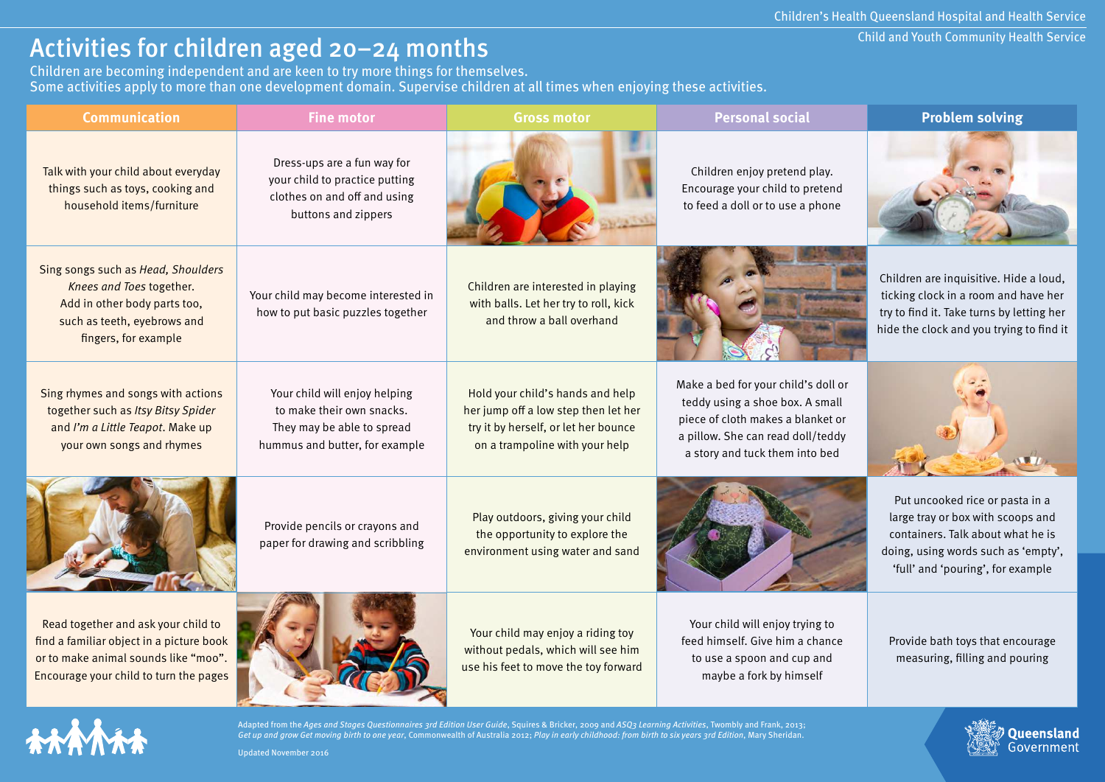Queensland Government

## Activities for children aged 20–24 months

Children are becoming independent and are keen to try more things for themselves. Some activities apply to more than one development domain. Supervise children at all times when enjoying these activities.

| <b>Communication</b>                                                                                                                                              | <b>Fine motor</b>                                                                                                          | <b>Gross motor</b>                                                                                                                                 | <b>Personal social</b>                                                                                                                                                             | <b>Problem solving</b>                                                                                                                                                                |
|-------------------------------------------------------------------------------------------------------------------------------------------------------------------|----------------------------------------------------------------------------------------------------------------------------|----------------------------------------------------------------------------------------------------------------------------------------------------|------------------------------------------------------------------------------------------------------------------------------------------------------------------------------------|---------------------------------------------------------------------------------------------------------------------------------------------------------------------------------------|
| Talk with your child about everyday<br>things such as toys, cooking and<br>household items/furniture                                                              | Dress-ups are a fun way for<br>your child to practice putting<br>clothes on and off and using<br>buttons and zippers       |                                                                                                                                                    | Children enjoy pretend play.<br>Encourage your child to pretend<br>to feed a doll or to use a phone                                                                                |                                                                                                                                                                                       |
| Sing songs such as Head, Shoulders<br>Knees and Toes together.<br>Add in other body parts too,<br>such as teeth, eyebrows and<br>fingers, for example             | Your child may become interested in<br>how to put basic puzzles together                                                   | Children are interested in playing<br>with balls. Let her try to roll, kick<br>and throw a ball overhand                                           |                                                                                                                                                                                    | Children are inquisitive. Hide a loud,<br>ticking clock in a room and have her<br>try to find it. Take turns by letting her<br>hide the clock and you trying to find it               |
| Sing rhymes and songs with actions<br>together such as Itsy Bitsy Spider<br>and I'm a Little Teapot. Make up<br>your own songs and rhymes                         | Your child will enjoy helping<br>to make their own snacks.<br>They may be able to spread<br>hummus and butter, for example | Hold your child's hands and help<br>her jump off a low step then let her<br>try it by herself, or let her bounce<br>on a trampoline with your help | Make a bed for your child's doll or<br>teddy using a shoe box. A small<br>piece of cloth makes a blanket or<br>a pillow. She can read doll/teddy<br>a story and tuck them into bed |                                                                                                                                                                                       |
|                                                                                                                                                                   | Provide pencils or crayons and<br>paper for drawing and scribbling                                                         | Play outdoors, giving your child<br>the opportunity to explore the<br>environment using water and sand                                             |                                                                                                                                                                                    | Put uncooked rice or pasta in a<br>large tray or box with scoops and<br>containers. Talk about what he is<br>doing, using words such as 'empty',<br>'full' and 'pouring', for example |
| Read together and ask your child to<br>find a familiar object in a picture book<br>or to make animal sounds like "moo".<br>Encourage your child to turn the pages |                                                                                                                            | Your child may enjoy a riding toy<br>without pedals, which will see him<br>use his feet to move the toy forward                                    | Your child will enjoy trying to<br>feed himself. Give him a chance<br>to use a spoon and cup and<br>maybe a fork by himself                                                        | Provide bath toys that encourage<br>measuring, filling and pouring                                                                                                                    |



Adapted from the Ages and Stages Questionnaires 3rd Edition User Guide, Squires & Bricker, 2009 and ASQ3 Learning Activities, Twombly and Frank, 2013; Get up and grow Get moving birth to one year, Commonwealth of Australia 2012; Play in early childhood: from birth to six years 3rd Edition, Mary Sheridan.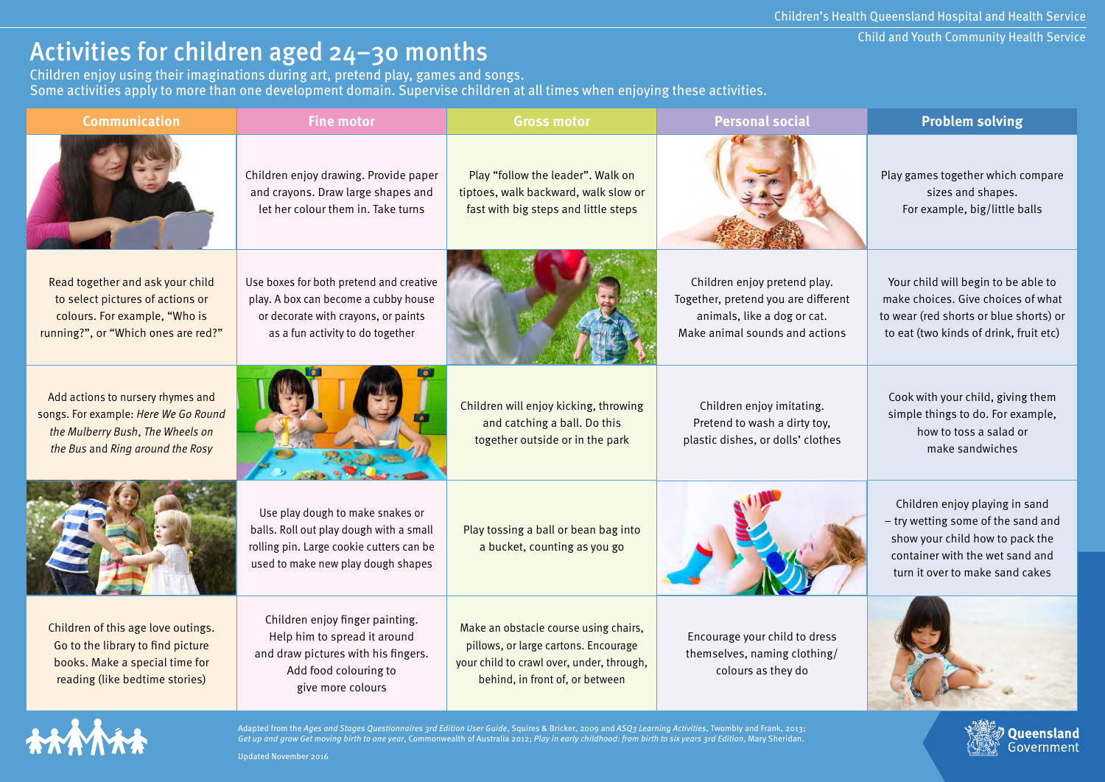#### Child and Youth Community Health Service

Queensland Government

# Activities for children aged 24–30 months

Children enjoy using their imaginations during art, pretend play, games and songs. Some activities apply to more than one development domain. Supervise children at all times when enjoying these activities.

| <b>Communication</b>                                                                                                                              | <b>Fine motor</b>                                                                                                                                             | <b>Gross motor</b>                                                                                                                                            | <b>Personal social</b>                                                                                                               | <b>Problem solving</b>                                                                                                                                                        |
|---------------------------------------------------------------------------------------------------------------------------------------------------|---------------------------------------------------------------------------------------------------------------------------------------------------------------|---------------------------------------------------------------------------------------------------------------------------------------------------------------|--------------------------------------------------------------------------------------------------------------------------------------|-------------------------------------------------------------------------------------------------------------------------------------------------------------------------------|
|                                                                                                                                                   | Children enjoy drawing. Provide paper<br>and crayons. Draw large shapes and<br>let her colour them in. Take turns                                             | Play "follow the leader". Walk on<br>tiptoes, walk backward, walk slow or<br>fast with big steps and little steps                                             |                                                                                                                                      | Play games together which compare<br>sizes and shapes.<br>For example, big/little balls                                                                                       |
| Read together and ask your child<br>to select pictures of actions or<br>colours. For example, "Who is<br>running?", or "Which ones are red?"      | Use boxes for both pretend and creative<br>play. A box can become a cubby house<br>or decorate with crayons, or paints<br>as a fun activity to do together    |                                                                                                                                                               | Children enjoy pretend play.<br>Together, pretend you are different<br>animals, like a dog or cat.<br>Make animal sounds and actions | Your child will begin to be able to<br>make choices. Give choices of what<br>to wear (red shorts or blue shorts) or<br>to eat (two kinds of drink, fruit etc)                 |
| Add actions to nursery rhymes and<br>songs. For example: Here We Go Round<br>the Mulberry Bush, The Wheels on<br>the Bus and Ring around the Rosy |                                                                                                                                                               | Children will enjoy kicking, throwing<br>and catching a ball. Do this<br>together outside or in the park                                                      | Children enjoy imitating.<br>Pretend to wash a dirty toy,<br>plastic dishes, or dolls' clothes                                       | Cook with your child, giving them<br>simple things to do. For example,<br>how to toss a salad or<br>make sandwiches                                                           |
|                                                                                                                                                   | Use play dough to make snakes or<br>balls. Roll out play dough with a small<br>rolling pin. Large cookie cutters can be<br>used to make new play dough shapes | Play tossing a ball or bean bag into<br>a bucket, counting as you go                                                                                          |                                                                                                                                      | Children enjoy playing in sand<br>- try wetting some of the sand and<br>show your child how to pack the<br>container with the wet sand and<br>turn it over to make sand cakes |
| Children of this age love outings.<br>Go to the library to find picture<br>books. Make a special time for<br>reading (like bedtime stories)       | Children enjoy finger painting.<br>Help him to spread it around<br>and draw pictures with his fingers.<br>Add food colouring to<br>give more colours          | Make an obstacle course using chairs,<br>pillows, or large cartons. Encourage<br>your child to crawl over, under, through,<br>behind, in front of, or between | Encourage your child to dress<br>themselves, naming clothing/<br>colours as they do                                                  |                                                                                                                                                                               |



Adapted from the Ages and Stages Questionnaires 3rd Edition User Guide, Squires & Bricker, 2009 and ASQ3 Learning Activities, Twombly and Frank, 2013;<br>Get up and grow Get moving birth to one year, Commonwealth of Australia